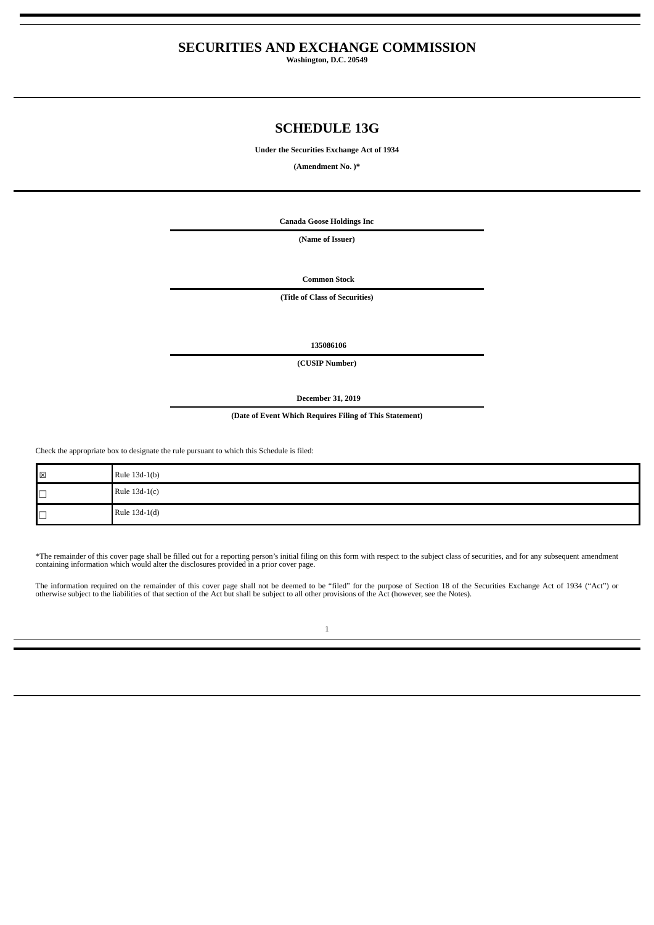## **SECURITIES AND EXCHANGE COMMISSION**

**Washington, D.C. 20549**

## **SCHEDULE 13G**

**Under the Securities Exchange Act of 1934**

**(Amendment No. )\***

**Canada Goose Holdings Inc**

**(Name of Issuer)**

**Common Stock**

**(Title of Class of Securities)**

**135086106**

**(CUSIP Number)**

**December 31, 2019**

**(Date of Event Which Requires Filing of This Statement)**

Check the appropriate box to designate the rule pursuant to which this Schedule is filed:

| $\boxtimes$ | Rule 13d-1(b) |
|-------------|---------------|
| $\Box$      | Rule 13d-1(c) |
| $\Box$      | Rule 13d-1(d) |

\*The remainder of this cover page shall be filled out for a reporting person's initial filing on this form with respect to the subject class of securities, and for any subsequent amendment<br>containing information which woul

The information required on the remainder of this cover page shall not be deemed to be "filed" for the purpose of Section 18 of the Securities Exchange Act of 1934 ("Act") or<br>otherwise subject to the liabilities of that se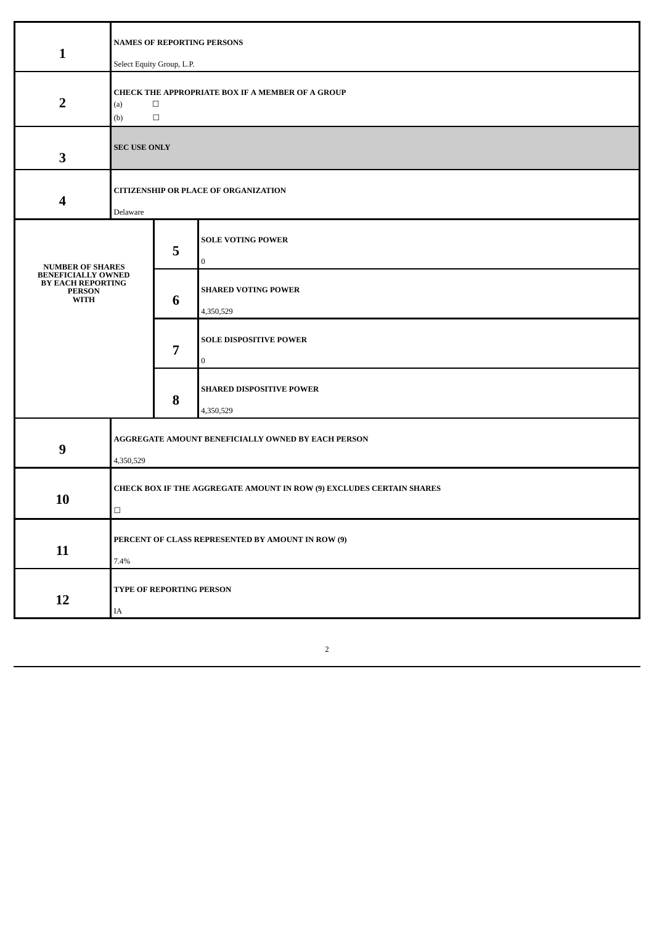| $\mathbf{1}$                                                                          | <b>NAMES OF REPORTING PERSONS</b><br>Select Equity Group, L.P.                     |   |                                              |  |
|---------------------------------------------------------------------------------------|------------------------------------------------------------------------------------|---|----------------------------------------------|--|
| $\overline{2}$                                                                        | CHECK THE APPROPRIATE BOX IF A MEMBER OF A GROUP<br>(a)<br>$\Box$<br>$\Box$<br>(b) |   |                                              |  |
| 3                                                                                     | <b>SEC USE ONLY</b>                                                                |   |                                              |  |
| 4                                                                                     | <b>CITIZENSHIP OR PLACE OF ORGANIZATION</b><br>Delaware                            |   |                                              |  |
| <b>NUMBER OF SHARES</b>                                                               |                                                                                    | 5 | <b>SOLE VOTING POWER</b><br>0                |  |
| <b>BENEFICIALLY OWNED</b><br><b>BY EACH REPORTING</b><br><b>PERSON</b><br><b>WITH</b> |                                                                                    | 6 | <b>SHARED VOTING POWER</b><br>4,350,529      |  |
|                                                                                       |                                                                                    | 7 | <b>SOLE DISPOSITIVE POWER</b><br>0           |  |
|                                                                                       |                                                                                    | 8 | <b>SHARED DISPOSITIVE POWER</b><br>4,350,529 |  |
| $\boldsymbol{9}$                                                                      | AGGREGATE AMOUNT BENEFICIALLY OWNED BY EACH PERSON<br>4,350,529                    |   |                                              |  |
| 10                                                                                    | CHECK BOX IF THE AGGREGATE AMOUNT IN ROW (9) EXCLUDES CERTAIN SHARES<br>$\Box$     |   |                                              |  |
| 11                                                                                    | PERCENT OF CLASS REPRESENTED BY AMOUNT IN ROW (9)<br>7.4%                          |   |                                              |  |
| 12                                                                                    | TYPE OF REPORTING PERSON<br>IA                                                     |   |                                              |  |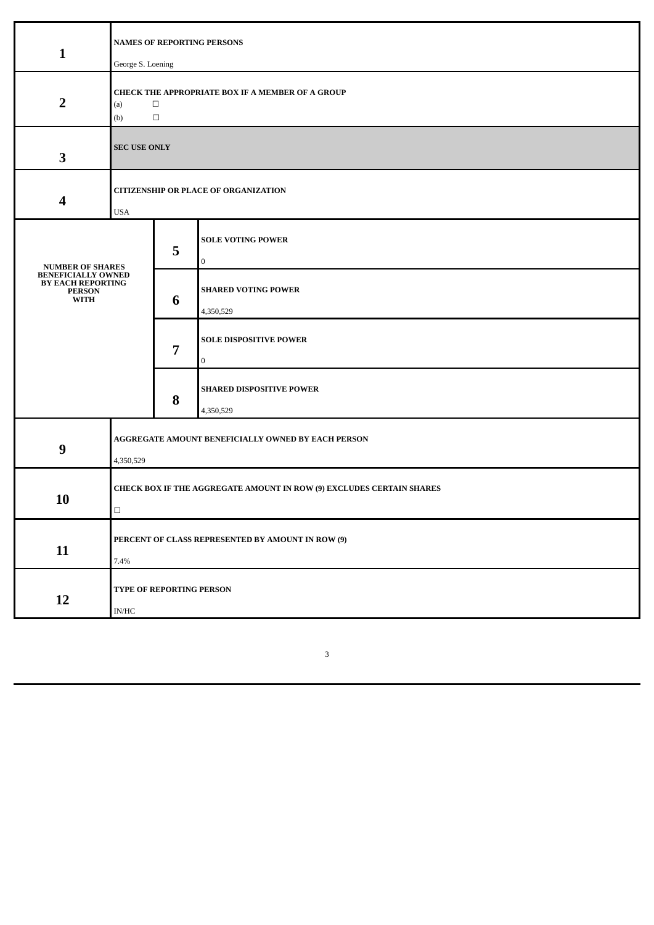| $\mathbf{1}$                                                                          | <b>NAMES OF REPORTING PERSONS</b><br>George S. Loening                             |   |                                              |  |
|---------------------------------------------------------------------------------------|------------------------------------------------------------------------------------|---|----------------------------------------------|--|
| $\overline{2}$                                                                        | CHECK THE APPROPRIATE BOX IF A MEMBER OF A GROUP<br>$\Box$<br>(a)<br>$\Box$<br>(b) |   |                                              |  |
| 3                                                                                     | <b>SEC USE ONLY</b>                                                                |   |                                              |  |
| 4                                                                                     | <b>CITIZENSHIP OR PLACE OF ORGANIZATION</b><br><b>USA</b>                          |   |                                              |  |
| <b>NUMBER OF SHARES</b>                                                               |                                                                                    | 5 | <b>SOLE VOTING POWER</b><br>$\bf{0}$         |  |
| <b>BENEFICIALLY OWNED</b><br><b>BY EACH REPORTING</b><br><b>PERSON</b><br><b>WITH</b> |                                                                                    | 6 | <b>SHARED VOTING POWER</b><br>4,350,529      |  |
|                                                                                       |                                                                                    | 7 | <b>SOLE DISPOSITIVE POWER</b><br>0           |  |
|                                                                                       |                                                                                    | 8 | <b>SHARED DISPOSITIVE POWER</b><br>4,350,529 |  |
| 9                                                                                     | AGGREGATE AMOUNT BENEFICIALLY OWNED BY EACH PERSON<br>4,350,529                    |   |                                              |  |
| 10                                                                                    | CHECK BOX IF THE AGGREGATE AMOUNT IN ROW (9) EXCLUDES CERTAIN SHARES<br>$\Box$     |   |                                              |  |
| 11                                                                                    | PERCENT OF CLASS REPRESENTED BY AMOUNT IN ROW (9)<br>7.4%                          |   |                                              |  |
| 12                                                                                    | TYPE OF REPORTING PERSON<br>$\mathbf{IN}/\mathbf{HC}$                              |   |                                              |  |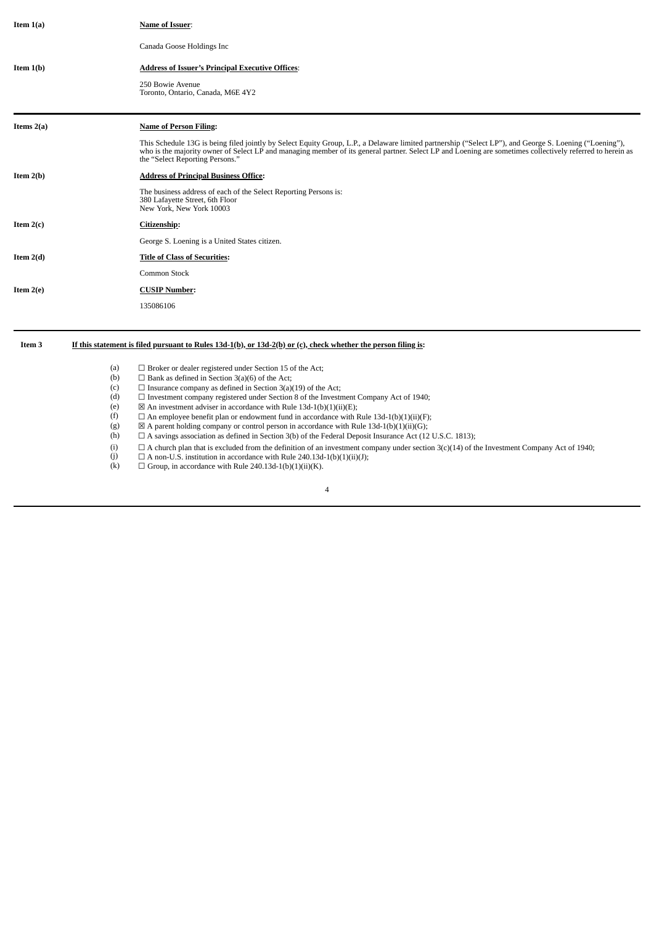| Item $1(a)$  | Name of Issuer:                                                                                                                                                                                                                                                                                                                                         |
|--------------|---------------------------------------------------------------------------------------------------------------------------------------------------------------------------------------------------------------------------------------------------------------------------------------------------------------------------------------------------------|
|              | Canada Goose Holdings Inc                                                                                                                                                                                                                                                                                                                               |
| Item $1(b)$  | <b>Address of Issuer's Principal Executive Offices:</b>                                                                                                                                                                                                                                                                                                 |
|              | 250 Bowie Avenue<br>Toronto, Ontario, Canada, M6E 4Y2                                                                                                                                                                                                                                                                                                   |
| Items $2(a)$ | <b>Name of Person Filing:</b>                                                                                                                                                                                                                                                                                                                           |
|              | This Schedule 13G is being filed jointly by Select Equity Group, L.P., a Delaware limited partnership ("Select LP"), and George S. Loening ("Loening"),<br>who is the majority owner of Select LP and managing member of its general partner. Select LP and Loening are sometimes collectively referred to herein as<br>the "Select Reporting Persons." |
| Item $2(b)$  | <b>Address of Principal Business Office:</b>                                                                                                                                                                                                                                                                                                            |
|              | The business address of each of the Select Reporting Persons is:<br>380 Lafayette Street, 6th Floor<br>New York, New York 10003                                                                                                                                                                                                                         |
| Item $2(c)$  | Citizenship:                                                                                                                                                                                                                                                                                                                                            |
|              | George S. Loening is a United States citizen.                                                                                                                                                                                                                                                                                                           |
| Item $2(d)$  | <b>Title of Class of Securities:</b>                                                                                                                                                                                                                                                                                                                    |
|              | Common Stock                                                                                                                                                                                                                                                                                                                                            |
| Item $2(e)$  | <b>CUSIP Number:</b>                                                                                                                                                                                                                                                                                                                                    |
|              | 135086106                                                                                                                                                                                                                                                                                                                                               |
|              |                                                                                                                                                                                                                                                                                                                                                         |

## Item 3 If this statement is filed pursuant to Rules 13d-1(b), or 13d-2(b) or (c), check whether the person filing is:

| (a) | $\Box$ Broker or dealer registered under Section 15 of the Act;                                                                                    |
|-----|----------------------------------------------------------------------------------------------------------------------------------------------------|
| (b) | $\Box$ Bank as defined in Section 3(a)(6) of the Act;                                                                                              |
| (c) | $\Box$ Insurance company as defined in Section 3(a)(19) of the Act;                                                                                |
| (d) | $\Box$ Investment company registered under Section 8 of the Investment Company Act of 1940;                                                        |
| (e) | $\boxtimes$ An investment adviser in accordance with Rule 13d-1(b)(1)(ii)(E);                                                                      |
| (f) | $\Box$ An employee benefit plan or endowment fund in accordance with Rule 13d-1(b)(1)(ii)(F);                                                      |
| (g) | $\boxtimes$ A parent holding company or control person in accordance with Rule 13d-1(b)(1)(ii)(G);                                                 |
| (h) | $\Box$ A savings association as defined in Section 3(b) of the Federal Deposit Insurance Act (12 U.S.C. 1813);                                     |
| (i) | $\Box$ A church plan that is excluded from the definition of an investment company under section $3(c)(14)$ of the Investment Company Act of 1940; |
| (i) | $\Box$ A non-U.S. institution in accordance with Rule 240.13d-1(b)(1)(ii)(J);                                                                      |
| (k) | $\Box$ Group, in accordance with Rule 240.13d-1(b)(1)(ii)(K).                                                                                      |
|     | 4                                                                                                                                                  |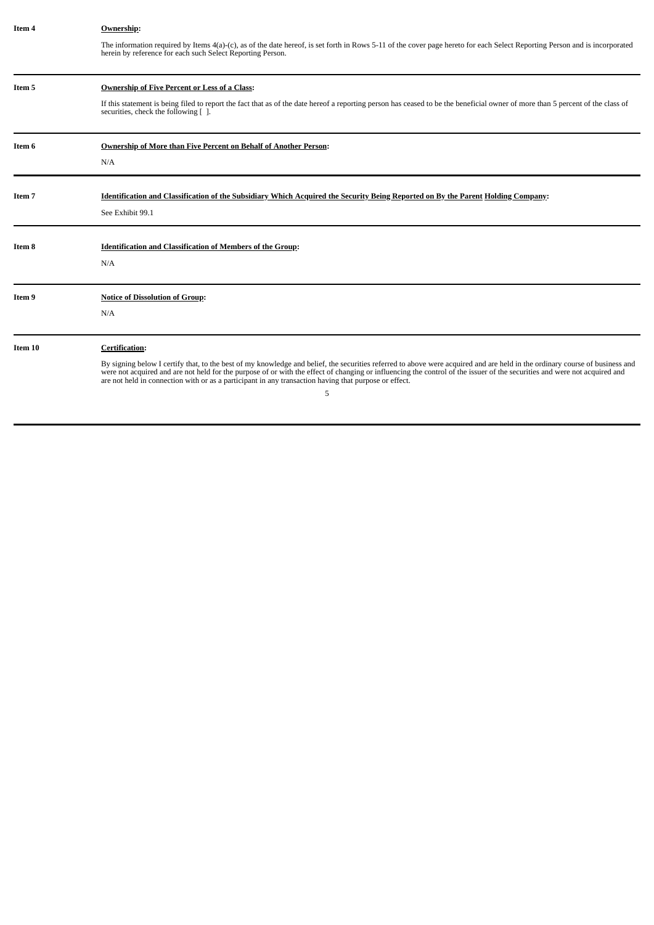| Item 4  | Ownership:                                                                                                                                                                                                                                                                                                                                                                                                                                                             |
|---------|------------------------------------------------------------------------------------------------------------------------------------------------------------------------------------------------------------------------------------------------------------------------------------------------------------------------------------------------------------------------------------------------------------------------------------------------------------------------|
|         | The information required by Items 4(a)-(c), as of the date hereof, is set forth in Rows 5-11 of the cover page hereto for each Select Reporting Person and is incorporated<br>herein by reference for each such Select Reporting Person.                                                                                                                                                                                                                               |
| Item 5  | <b>Ownership of Five Percent or Less of a Class:</b>                                                                                                                                                                                                                                                                                                                                                                                                                   |
|         | If this statement is being filed to report the fact that as of the date hereof a reporting person has ceased to be the beneficial owner of more than 5 percent of the class of<br>securities, check the following [].                                                                                                                                                                                                                                                  |
| Item 6  | Ownership of More than Five Percent on Behalf of Another Person:                                                                                                                                                                                                                                                                                                                                                                                                       |
|         | N/A                                                                                                                                                                                                                                                                                                                                                                                                                                                                    |
| Item 7  | Identification and Classification of the Subsidiary Which Acquired the Security Being Reported on By the Parent Holding Company:                                                                                                                                                                                                                                                                                                                                       |
|         | See Exhibit 99.1                                                                                                                                                                                                                                                                                                                                                                                                                                                       |
| Item 8  | <b>Identification and Classification of Members of the Group:</b>                                                                                                                                                                                                                                                                                                                                                                                                      |
|         | N/A                                                                                                                                                                                                                                                                                                                                                                                                                                                                    |
| Item 9  | <b>Notice of Dissolution of Group:</b>                                                                                                                                                                                                                                                                                                                                                                                                                                 |
|         | N/A                                                                                                                                                                                                                                                                                                                                                                                                                                                                    |
| Item 10 | <b>Certification:</b>                                                                                                                                                                                                                                                                                                                                                                                                                                                  |
|         | By signing below I certify that, to the best of my knowledge and belief, the securities referred to above were acquired and are held in the ordinary course of business and<br>were not acquired and are not held for the purpose of or with the effect of changing or influencing the control of the issuer of the securities and were not acquired and<br>are not held in connection with or as a participant in any transaction having that purpose or effect.<br>5 |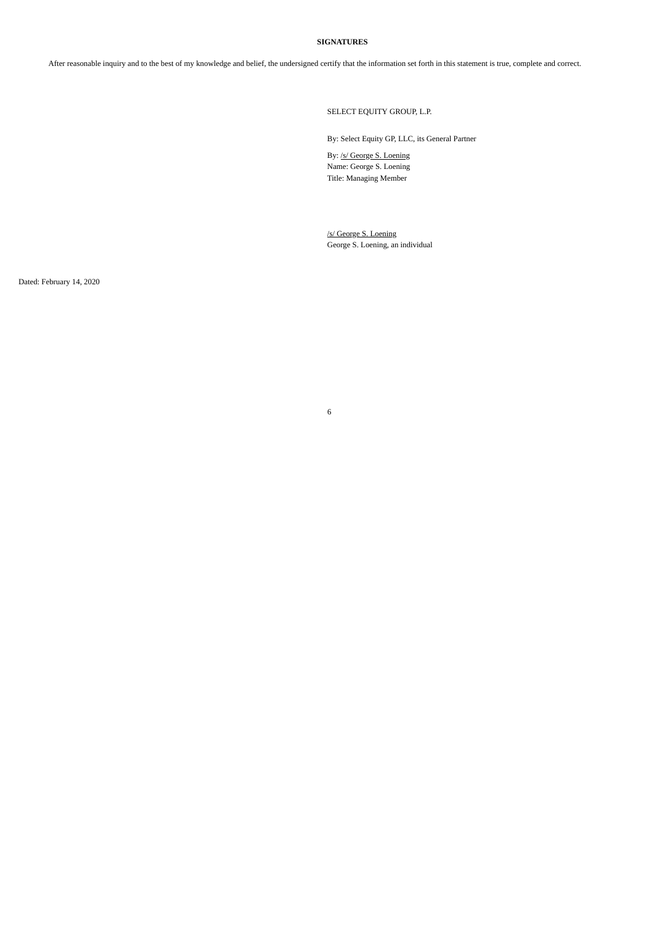#### **SIGNATURES**

After reasonable inquiry and to the best of my knowledge and belief, the undersigned certify that the information set forth in this statement is true, complete and correct.

SELECT EQUITY GROUP, L.P.

By: Select Equity GP, LLC, its General Partner

By: /s/ George S. Loening Name: George S. Loening Title: Managing Member

/s/ George S. Loening George S. Loening, an individual

6

Dated: February 14, 2020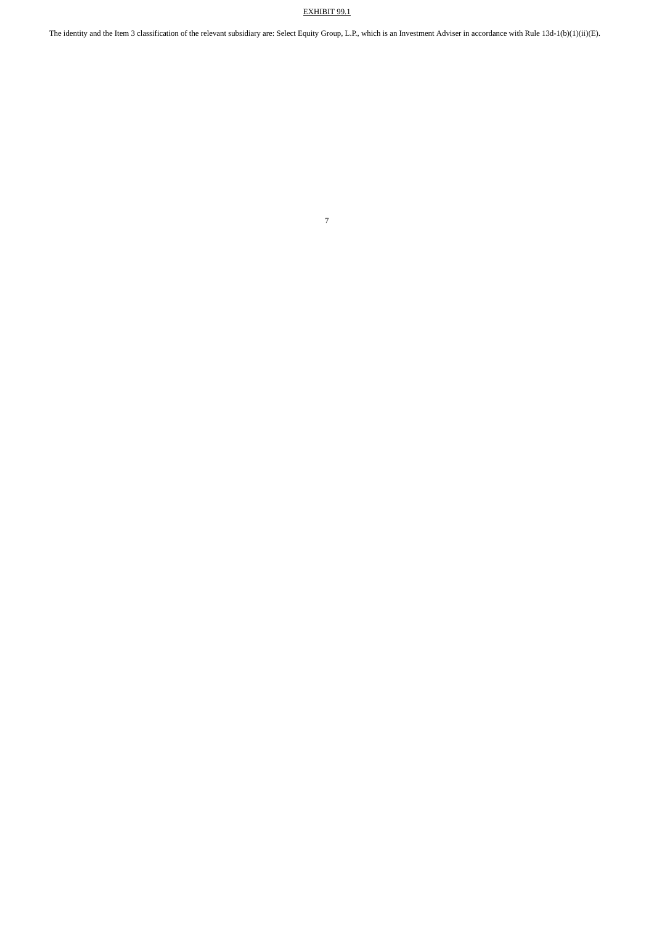### EXHIBIT 99.1

The identity and the Item 3 classification of the relevant subsidiary are: Select Equity Group, L.P., which is an Investment Adviser in accordance with Rule 13d-1(b)(1)(ii)(E).